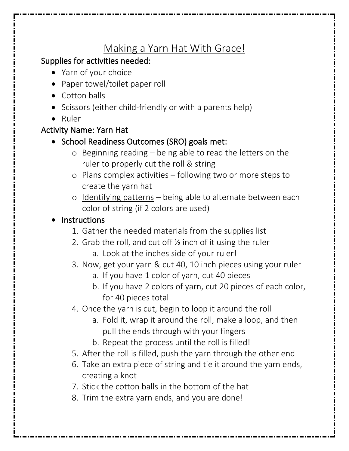# Making a Yarn Hat With Grace!

## Supplies for activities needed:

- Yarn of your choice
- Paper towel/toilet paper roll
- Cotton balls
- Scissors (either child-friendly or with a parents help)
- Ruler

### Activity Name: Yarn Hat

- School Readiness Outcomes (SRO) goals met:
	- o Beginning reading being able to read the letters on the ruler to properly cut the roll & string
	- o Plans complex activities following two or more steps to create the yarn hat
	- o Identifying patterns being able to alternate between each color of string (if 2 colors are used)

## **Instructions**

- 1. Gather the needed materials from the supplies list
- 2. Grab the roll, and cut off ½ inch of it using the ruler
	- a. Look at the inches side of your ruler!
- 3. Now, get your yarn & cut 40, 10 inch pieces using your ruler
	- a. If you have 1 color of yarn, cut 40 pieces
	- b. If you have 2 colors of yarn, cut 20 pieces of each color, for 40 pieces total
- 4. Once the yarn is cut, begin to loop it around the roll
	- a. Fold it, wrap it around the roll, make a loop, and then pull the ends through with your fingers
	- b. Repeat the process until the roll is filled!
- 5. After the roll is filled, push the yarn through the other end
- 6. Take an extra piece of string and tie it around the yarn ends, creating a knot
- 7. Stick the cotton balls in the bottom of the hat
- 8. Trim the extra yarn ends, and you are done!